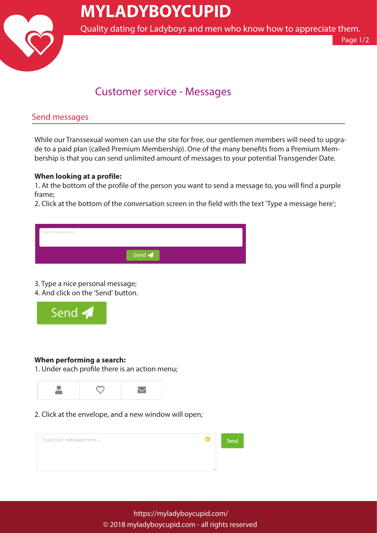

# **MYLADYBOYCUPID**

Quality dating for Ladyboys and men who know how to appreciate them.

Page 1/2

### Customer service - Messages

### Send messages

While our Transsexual women can use the site for free, our gentlemen members will need to upgrade to a paid plan (called Premium Membership). One of the many benefits from a Premium Membership is that you can send unlimited amount of messages to your potential Transgender Date.

#### **When looking at a profile:**

1. At the bottom of the profile of the person you want to send a message to, you will find a purple frame;

2. Click at the bottom of the conversation screen in the field with the text 'Type a message here';

| Type a message here |                           |  |
|---------------------|---------------------------|--|
|                     | Send $\blacktriangleleft$ |  |

#### 3. Type a nice personal message;

4. And click on the 'Send' button.



#### **When performing a search:**

1. Under each profile there is an action menu;



2. Click at the envelope, and a new window will open;

| Type your message here | Send |
|------------------------|------|
|                        |      |